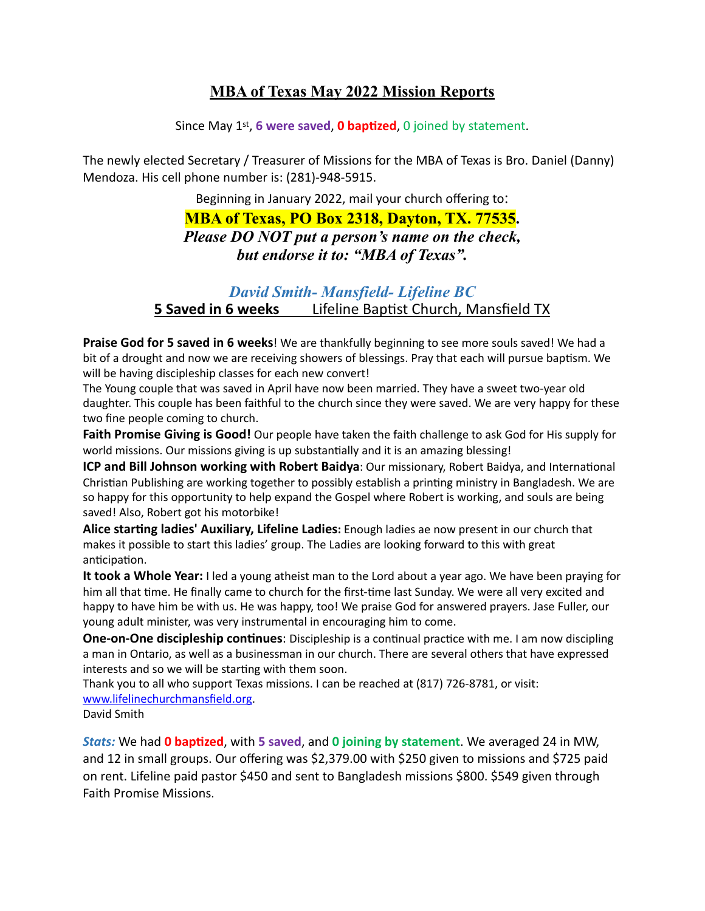## **MBA of Texas May 2022 Mission Reports**

Since May 1st, **6 were saved**, **0 baptized**, 0 joined by statement.

The newly elected Secretary / Treasurer of Missions for the MBA of Texas is Bro. Daniel (Danny) Mendoza. His cell phone number is: (281)-948-5915.

Beginning in January 2022, mail your church offering to:

**MBA of Texas, PO Box 2318, Dayton, TX. 77535.** *Please DO NOT put a person's name on the check, but endorse it to: "MBA of Texas".*

## *David Smith- Mansfield- Lifeline BC* **5 Saved in 6 weeks** Lifeline Baptist Church, Mansfield TX

**Praise God for 5 saved in 6 weeks**! We are thankfully beginning to see more souls saved! We had a bit of a drought and now we are receiving showers of blessings. Pray that each will pursue baptism. We will be having discipleship classes for each new convert!

The Young couple that was saved in April have now been married. They have a sweet two-year old daughter. This couple has been faithful to the church since they were saved. We are very happy for these two fine people coming to church.

**Faith Promise Giving is Good!** Our people have taken the faith challenge to ask God for His supply for world missions. Our missions giving is up substantially and it is an amazing blessing!

**ICP and Bill Johnson working with Robert Baidya**: Our missionary, Robert Baidya, and International Christian Publishing are working together to possibly establish a printing ministry in Bangladesh. We are so happy for this opportunity to help expand the Gospel where Robert is working, and souls are being saved! Also, Robert got his motorbike!

**Alice starting ladies' Auxiliary, Lifeline Ladies:** Enough ladies ae now present in our church that makes it possible to start this ladies' group. The Ladies are looking forward to this with great anticipation.

**It took a Whole Year:** I led a young atheist man to the Lord about a year ago. We have been praying for him all that time. He finally came to church for the first-time last Sunday. We were all very excited and happy to have him be with us. He was happy, too! We praise God for answered prayers. Jase Fuller, our young adult minister, was very instrumental in encouraging him to come.

**One-on-One discipleship continues**: Discipleship is a continual practice with me. I am now discipling a man in Ontario, as well as a businessman in our church. There are several others that have expressed interests and so we will be starting with them soon.

Thank you to all who support Texas missions. I can be reached at (817) 726-8781, or visit: [www.lifelinechurchmansfield.org](http://www.lifelinechurchmansfield.org/).

David Smith

*Stats:* We had **0 baptized**, with **5 saved**, and **0 joining by statement**. We averaged 24 in MW, and 12 in small groups. Our offering was \$2,379.00 with \$250 given to missions and \$725 paid on rent. Lifeline paid pastor \$450 and sent to Bangladesh missions \$800. \$549 given through Faith Promise Missions.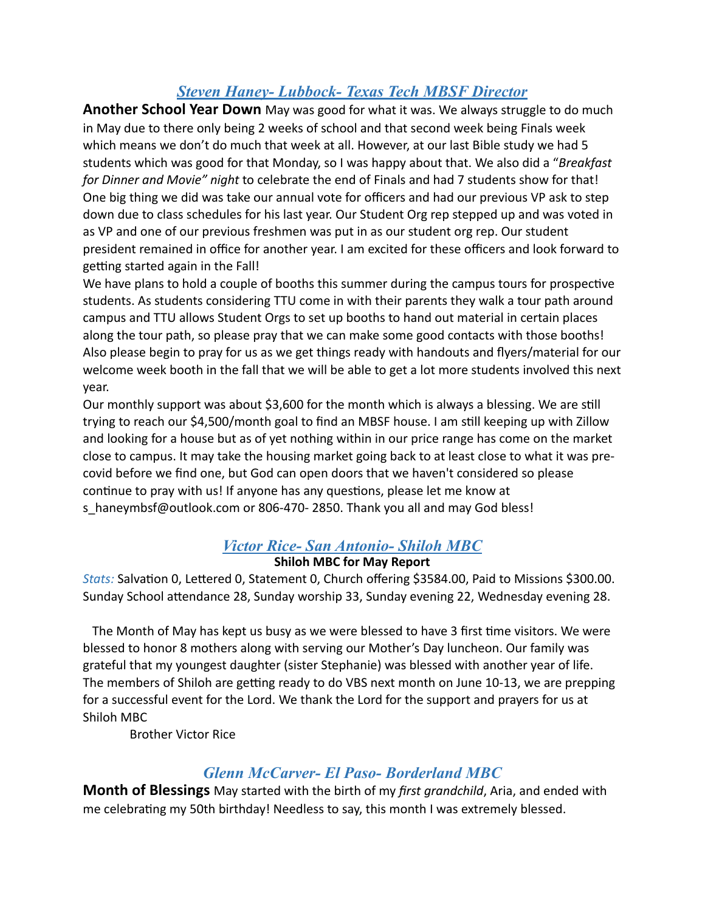## *Steven Haney- Lubbock- Texas Tech MBSF Director*

**Another School Year Down** May was good for what it was. We always struggle to do much in May due to there only being 2 weeks of school and that second week being Finals week which means we don't do much that week at all. However, at our last Bible study we had 5 students which was good for that Monday, so I was happy about that. We also did a "*Breakfast for Dinner and Movie" night* to celebrate the end of Finals and had 7 students show for that! One big thing we did was take our annual vote for officers and had our previous VP ask to step down due to class schedules for his last year. Our Student Org rep stepped up and was voted in as VP and one of our previous freshmen was put in as our student org rep. Our student president remained in office for another year. I am excited for these officers and look forward to getting started again in the Fall!

We have plans to hold a couple of booths this summer during the campus tours for prospective students. As students considering TTU come in with their parents they walk a tour path around campus and TTU allows Student Orgs to set up booths to hand out material in certain places along the tour path, so please pray that we can make some good contacts with those booths! Also please begin to pray for us as we get things ready with handouts and flyers/material for our welcome week booth in the fall that we will be able to get a lot more students involved this next year.

Our monthly support was about \$3,600 for the month which is always a blessing. We are still trying to reach our \$4,500/month goal to find an MBSF house. I am still keeping up with Zillow and looking for a house but as of yet nothing within in our price range has come on the market close to campus. It may take the housing market going back to at least close to what it was precovid before we find one, but God can open doors that we haven't considered so please continue to pray with us! If anyone has any questions, please let me know at s haneymbsf@outlook.com or 806-470- 2850. Thank you all and may God bless!

# *Victor Rice- San Antonio- Shiloh MBC*

#### **Shiloh MBC for May Report**

*Stats:* Salvation 0, Lettered 0, Statement 0, Church offering \$3584.00, Paid to Missions \$300.00. Sunday School attendance 28, Sunday worship 33, Sunday evening 22, Wednesday evening 28.

 The Month of May has kept us busy as we were blessed to have 3 first time visitors. We were blessed to honor 8 mothers along with serving our Mother's Day luncheon. Our family was grateful that my youngest daughter (sister Stephanie) was blessed with another year of life. The members of Shiloh are getting ready to do VBS next month on June 10-13, we are prepping for a successful event for the Lord. We thank the Lord for the support and prayers for us at Shiloh MBC

Brother Victor Rice

## *Glenn McCarver- El Paso- Borderland MBC*

**Month of Blessings** May started with the birth of my *first grandchild*, Aria, and ended with me celebrating my 50th birthday! Needless to say, this month I was extremely blessed.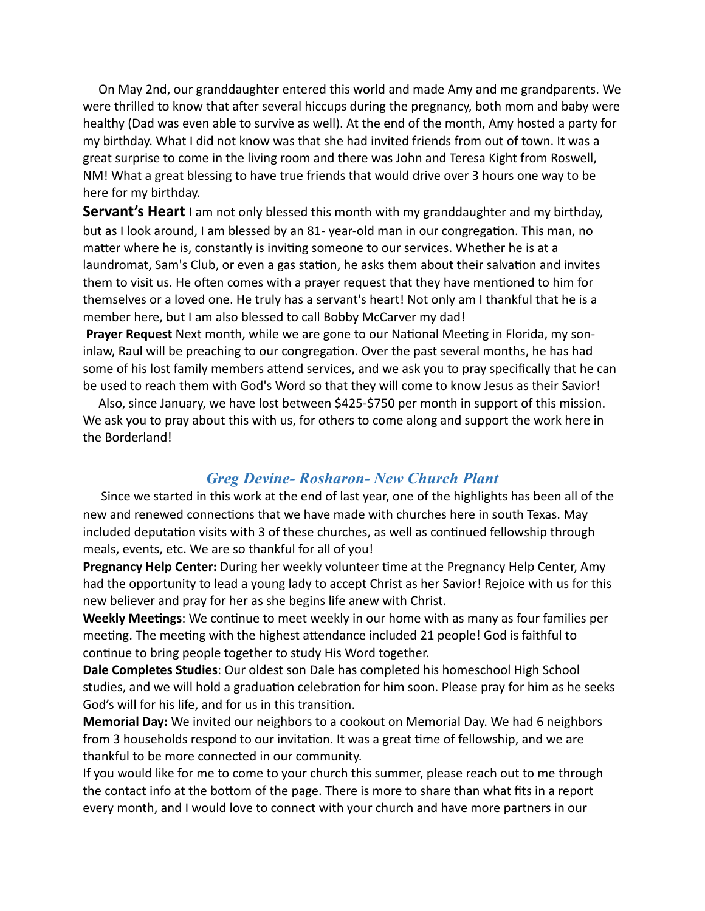On May 2nd, our granddaughter entered this world and made Amy and me grandparents. We were thrilled to know that after several hiccups during the pregnancy, both mom and baby were healthy (Dad was even able to survive as well). At the end of the month, Amy hosted a party for my birthday. What I did not know was that she had invited friends from out of town. It was a great surprise to come in the living room and there was John and Teresa Kight from Roswell, NM! What a great blessing to have true friends that would drive over 3 hours one way to be here for my birthday.

**Servant's Heart** I am not only blessed this month with my granddaughter and my birthday, but as I look around, I am blessed by an 81- year-old man in our congregation. This man, no matter where he is, constantly is inviting someone to our services. Whether he is at a laundromat, Sam's Club, or even a gas station, he asks them about their salvation and invites them to visit us. He often comes with a prayer request that they have mentioned to him for themselves or a loved one. He truly has a servant's heart! Not only am I thankful that he is a member here, but I am also blessed to call Bobby McCarver my dad!

**Prayer Request** Next month, while we are gone to our National Meeting in Florida, my soninlaw, Raul will be preaching to our congregation. Over the past several months, he has had some of his lost family members attend services, and we ask you to pray specifically that he can be used to reach them with God's Word so that they will come to know Jesus as their Savior!

 Also, since January, we have lost between \$425-\$750 per month in support of this mission. We ask you to pray about this with us, for others to come along and support the work here in the Borderland!

### *Greg Devine- Rosharon- New Church Plant*

 Since we started in this work at the end of last year, one of the highlights has been all of the new and renewed connections that we have made with churches here in south Texas. May included deputation visits with 3 of these churches, as well as continued fellowship through meals, events, etc. We are so thankful for all of you!

**Pregnancy Help Center:** During her weekly volunteer time at the Pregnancy Help Center, Amy had the opportunity to lead a young lady to accept Christ as her Savior! Rejoice with us for this new believer and pray for her as she begins life anew with Christ.

**Weekly Meetings**: We continue to meet weekly in our home with as many as four families per meeting. The meeting with the highest attendance included 21 people! God is faithful to continue to bring people together to study His Word together.

**Dale Completes Studies**: Our oldest son Dale has completed his homeschool High School studies, and we will hold a graduation celebration for him soon. Please pray for him as he seeks God's will for his life, and for us in this transition.

**Memorial Day:** We invited our neighbors to a cookout on Memorial Day. We had 6 neighbors from 3 households respond to our invitation. It was a great time of fellowship, and we are thankful to be more connected in our community.

If you would like for me to come to your church this summer, please reach out to me through the contact info at the bottom of the page. There is more to share than what fits in a report every month, and I would love to connect with your church and have more partners in our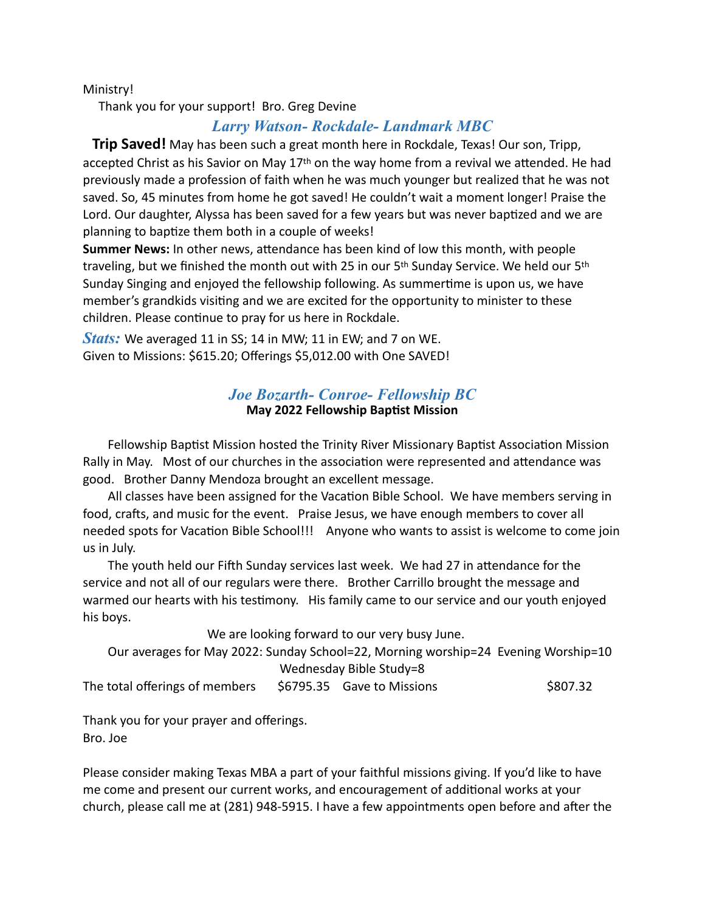Ministry!

Thank you for your support! Bro. Greg Devine

## *Larry Watson- Rockdale- Landmark MBC*

 **Trip Saved!** May has been such a great month here in Rockdale, Texas! Our son, Tripp, accepted Christ as his Savior on May  $17<sup>th</sup>$  on the way home from a revival we attended. He had previously made a profession of faith when he was much younger but realized that he was not saved. So, 45 minutes from home he got saved! He couldn't wait a moment longer! Praise the Lord. Our daughter, Alyssa has been saved for a few years but was never baptized and we are planning to baptize them both in a couple of weeks!

**Summer News:** In other news, attendance has been kind of low this month, with people traveling, but we finished the month out with 25 in our 5th Sunday Service. We held our 5th Sunday Singing and enjoyed the fellowship following. As summertime is upon us, we have member's grandkids visiting and we are excited for the opportunity to minister to these children. Please continue to pray for us here in Rockdale.

*Stats:* We averaged 11 in SS; 14 in MW; 11 in EW; and 7 on WE. Given to Missions: \$615.20; Offerings \$5,012.00 with One SAVED!

#### *Joe Bozarth- Conroe- Fellowship BC* **May 2022 Fellowship Baptist Mission**

 Fellowship Baptist Mission hosted the Trinity River Missionary Baptist Association Mission Rally in May. Most of our churches in the association were represented and attendance was good. Brother Danny Mendoza brought an excellent message.

 All classes have been assigned for the Vacation Bible School. We have members serving in food, crafts, and music for the event. Praise Jesus, we have enough members to cover all needed spots for Vacation Bible School!!! Anyone who wants to assist is welcome to come join us in July.

 The youth held our Fifth Sunday services last week. We had 27 in attendance for the service and not all of our regulars were there. Brother Carrillo brought the message and warmed our hearts with his testimony. His family came to our service and our youth enjoyed his boys.

We are looking forward to our very busy June.

 Our averages for May 2022: Sunday School=22, Morning worship=24 Evening Worship=10 Wednesday Bible Study=8

The total offerings of members  $\frac{1}{2}6795.35$  Gave to Missions  $\frac{1}{2}807.32$ 

Thank you for your prayer and offerings. Bro. Joe

Please consider making Texas MBA a part of your faithful missions giving. If you'd like to have me come and present our current works, and encouragement of additional works at your church, please call me at (281) 948-5915. I have a few appointments open before and after the